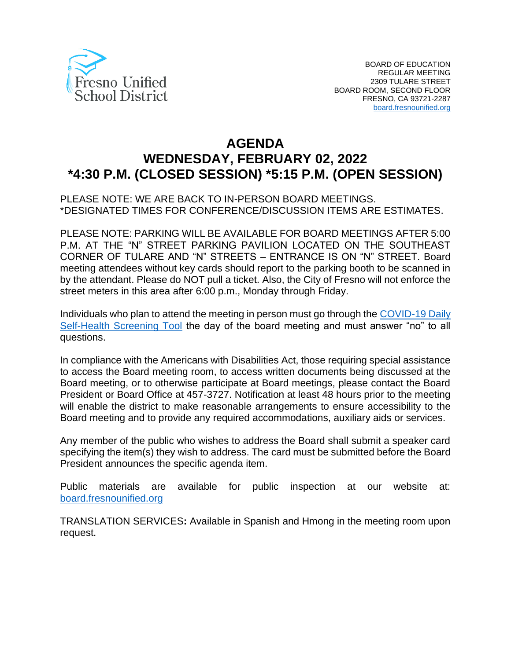

# **AGENDA WEDNESDAY, FEBRUARY 02, 2022 \*4:30 P.M. (CLOSED SESSION) \*5:15 P.M. (OPEN SESSION)**

## PLEASE NOTE: WE ARE BACK TO IN-PERSON BOARD MEETINGS. \*DESIGNATED TIMES FOR CONFERENCE/DISCUSSION ITEMS ARE ESTIMATES.

PLEASE NOTE: PARKING WILL BE AVAILABLE FOR BOARD MEETINGS AFTER 5:00 P.M. AT THE "N" STREET PARKING PAVILION LOCATED ON THE SOUTHEAST CORNER OF TULARE AND "N" STREETS – ENTRANCE IS ON "N" STREET. Board meeting attendees without key cards should report to the parking booth to be scanned in by the attendant. Please do NOT pull a ticket. Also, the City of Fresno will not enforce the street meters in this area after 6:00 p.m., Monday through Friday.

Individuals who plan to attend the meeting in person must go through the [COVID-19 Daily](https://www.fresnounified.org/covid19/) [Self-Health Screening Tool](https://www.fresnounified.org/covid19/) the day of the board meeting and must answer "no" to all questions.

In compliance with the Americans with Disabilities Act, those requiring special assistance to access the Board meeting room, to access written documents being discussed at the Board meeting, or to otherwise participate at Board meetings, please contact the Board President or Board Office at 457-3727. Notification at least 48 hours prior to the meeting will enable the district to make reasonable arrangements to ensure accessibility to the Board meeting and to provide any required accommodations, auxiliary aids or services.

Any member of the public who wishes to address the Board shall submit a speaker card specifying the item(s) they wish to address. The card must be submitted before the Board President announces the specific agenda item.

Public materials are available for public inspection at our website at: [board.fresnounified.org](https://board.fresnounified.org/)

TRANSLATION SERVICES**:** Available in Spanish and Hmong in the meeting room upon request.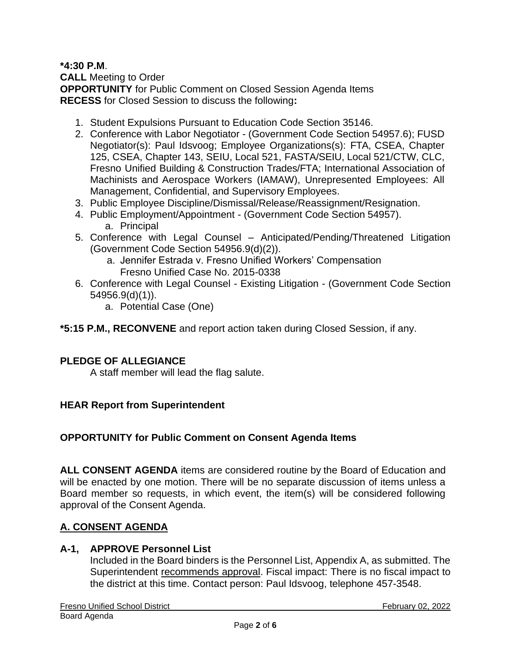## **\*4:30 P.M**.

**CALL** Meeting to Order **OPPORTUNITY** for Public Comment on Closed Session Agenda Items **RECESS** for Closed Session to discuss the following**:**

- 1. Student Expulsions Pursuant to Education Code Section 35146.
- 2. Conference with Labor Negotiator (Government Code Section 54957.6); FUSD Negotiator(s): Paul Idsvoog; Employee Organizations(s): FTA, CSEA, Chapter 125, CSEA, Chapter 143, SEIU, Local 521, FASTA/SEIU, Local 521/CTW, CLC, Fresno Unified Building & Construction Trades/FTA; International Association of Machinists and Aerospace Workers (IAMAW), Unrepresented Employees: All Management, Confidential, and Supervisory Employees.
- 3. Public Employee Discipline/Dismissal/Release/Reassignment/Resignation.
- 4. Public Employment/Appointment (Government Code Section 54957). a. Principal
- 5. Conference with Legal Counsel Anticipated/Pending/Threatened Litigation (Government Code Section 54956.9(d)(2)).
	- a. Jennifer Estrada v. Fresno Unified Workers' Compensation Fresno Unified Case No. 2015-0338
- 6. Conference with Legal Counsel Existing Litigation (Government Code Section 54956.9(d)(1)).
	- a. Potential Case (One)

**\*5:15 P.M., RECONVENE** and report action taken during Closed Session, if any.

#### **PLEDGE OF ALLEGIANCE**

A staff member will lead the flag salute.

#### **HEAR Report from Superintendent**

#### **OPPORTUNITY for Public Comment on Consent Agenda Items**

**ALL CONSENT AGENDA** items are considered routine by the Board of Education and will be enacted by one motion. There will be no separate discussion of items unless a Board member so requests, in which event, the item(s) will be considered following approval of the Consent Agenda.

#### **A. CONSENT AGENDA**

#### **A-1, APPROVE Personnel List**

Included in the Board binders is the Personnel List, Appendix A, as submitted. The Superintendent recommends approval. Fiscal impact: There is no fiscal impact to the district at this time. Contact person: Paul Idsvoog, telephone 457-3548.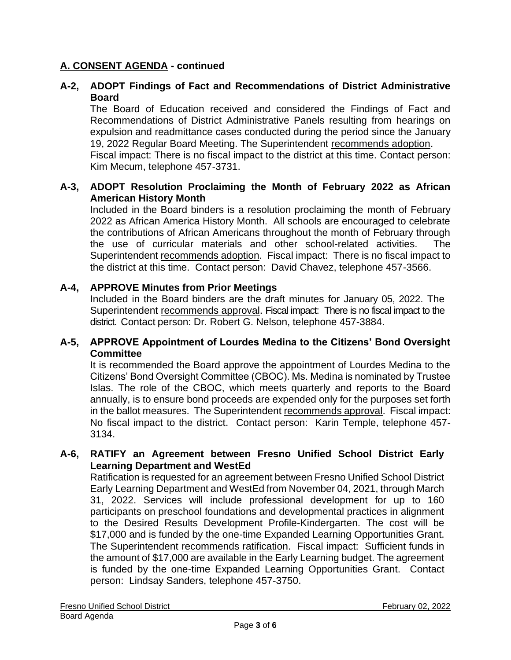# **A. CONSENT AGENDA - continued**

# **A-2, ADOPT Findings of Fact and Recommendations of District Administrative Board**

The Board of Education received and considered the Findings of Fact and Recommendations of District Administrative Panels resulting from hearings on expulsion and readmittance cases conducted during the period since the January 19, 2022 Regular Board Meeting. The Superintendent recommends adoption.

Fiscal impact: There is no fiscal impact to the district at this time. Contact person: Kim Mecum, telephone 457-3731.

## **A-3, ADOPT Resolution Proclaiming the Month of February 2022 as African American History Month**

Included in the Board binders is a resolution proclaiming the month of February 2022 as African America History Month. All schools are encouraged to celebrate the contributions of African Americans throughout the month of February through the use of curricular materials and other school-related activities. The Superintendent recommends adoption. Fiscal impact: There is no fiscal impact to the district at this time. Contact person: David Chavez, telephone 457-3566.

## **A-4, APPROVE Minutes from Prior Meetings**

Included in the Board binders are the draft minutes for January 05, 2022. The Superintendent recommends approval. Fiscal impact: There is no fiscal impact to the district. Contact person: Dr. Robert G. Nelson, telephone 457-3884.

## **A-5, APPROVE Appointment of Lourdes Medina to the Citizens' Bond Oversight Committee**

It is recommended the Board approve the appointment of Lourdes Medina to the Citizens' Bond Oversight Committee (CBOC). Ms. Medina is nominated by Trustee Islas. The role of the CBOC, which meets quarterly and reports to the Board annually, is to ensure bond proceeds are expended only for the purposes set forth in the ballot measures. The Superintendent recommends approval. Fiscal impact: No fiscal impact to the district. Contact person: Karin Temple, telephone 457- 3134.

#### **A-6, RATIFY an Agreement between Fresno Unified School District Early Learning Department and WestEd**

Ratification is requested for an agreement between Fresno Unified School District Early Learning Department and WestEd from November 04, 2021, through March 31, 2022. Services will include professional development for up to 160 participants on preschool foundations and developmental practices in alignment to the Desired Results Development Profile-Kindergarten. The cost will be \$17,000 and is funded by the one-time Expanded Learning Opportunities Grant. The Superintendent recommends ratification. Fiscal impact: Sufficient funds in the amount of \$17,000 are available in the Early Learning budget. The agreement is funded by the one-time Expanded Learning Opportunities Grant. Contact person: Lindsay Sanders, telephone 457-3750.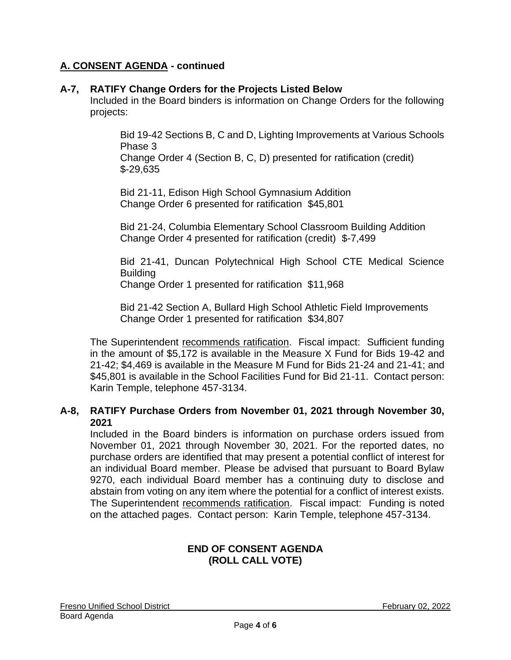# **A. CONSENT AGENDA - continued**

## **A-7, RATIFY Change Orders for the Projects Listed Below**

Included in the Board binders is information on Change Orders for the following projects:

Bid 19-42 Sections B, C and D, Lighting Improvements at Various Schools Phase 3

Change Order 4 (Section B, C, D) presented for ratification (credit) \$-29,635

Bid 21-11, Edison High School Gymnasium Addition Change Order 6 presented for ratification \$45,801

Bid 21-24, Columbia Elementary School Classroom Building Addition Change Order 4 presented for ratification (credit) \$-7,499

Bid 21-41, Duncan Polytechnical High School CTE Medical Science Building

Change Order 1 presented for ratification \$11,968

Bid 21-42 Section A, Bullard High School Athletic Field Improvements Change Order 1 presented for ratification \$34,807

The Superintendent recommends ratification. Fiscal impact: Sufficient funding in the amount of \$5,172 is available in the Measure X Fund for Bids 19-42 and 21-42; \$4,469 is available in the Measure M Fund for Bids 21-24 and 21-41; and \$45,801 is available in the School Facilities Fund for Bid 21-11. Contact person: Karin Temple, telephone 457-3134.

## **A-8, RATIFY Purchase Orders from November 01, 2021 through November 30, 2021**

Included in the Board binders is information on purchase orders issued from November 01, 2021 through November 30, 2021. For the reported dates, no purchase orders are identified that may present a potential conflict of interest for an individual Board member. Please be advised that pursuant to Board Bylaw 9270, each individual Board member has a continuing duty to disclose and abstain from voting on any item where the potential for a conflict of interest exists. The Superintendent recommends ratification. Fiscal impact: Funding is noted on the attached pages. Contact person: Karin Temple, telephone 457-3134.

#### **END OF CONSENT AGENDA (ROLL CALL VOTE)**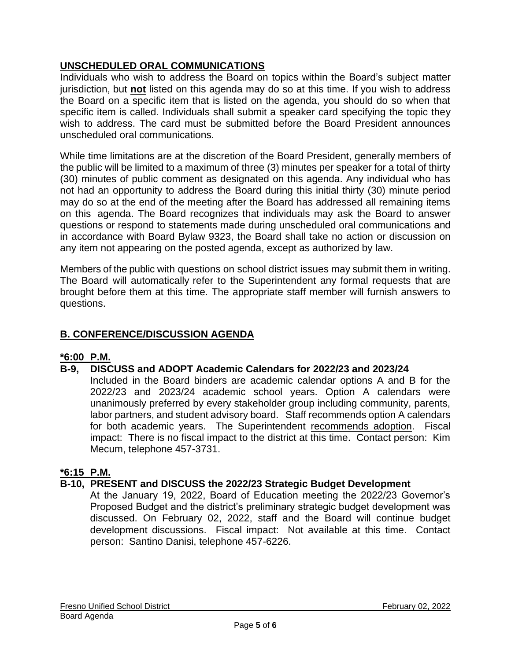# **UNSCHEDULED ORAL COMMUNICATIONS**

Individuals who wish to address the Board on topics within the Board's subject matter jurisdiction, but **not** listed on this agenda may do so at this time. If you wish to address the Board on a specific item that is listed on the agenda, you should do so when that specific item is called. Individuals shall submit a speaker card specifying the topic they wish to address. The card must be submitted before the Board President announces unscheduled oral communications.

While time limitations are at the discretion of the Board President, generally members of the public will be limited to a maximum of three (3) minutes per speaker for a total of thirty (30) minutes of public comment as designated on this agenda. Any individual who has not had an opportunity to address the Board during this initial thirty (30) minute period may do so at the end of the meeting after the Board has addressed all remaining items on this agenda. The Board recognizes that individuals may ask the Board to answer questions or respond to statements made during unscheduled oral communications and in accordance with Board Bylaw 9323, the Board shall take no action or discussion on any item not appearing on the posted agenda, except as authorized by law.

Members of the public with questions on school district issues may submit them in writing. The Board will automatically refer to the Superintendent any formal requests that are brought before them at this time. The appropriate staff member will furnish answers to questions.

# **B. CONFERENCE/DISCUSSION AGENDA**

# **\*6:00 P.M.**

## **B-9, DISCUSS and ADOPT Academic Calendars for 2022/23 and 2023/24**

Included in the Board binders are academic calendar options A and B for the 2022/23 and 2023/24 academic school years. Option A calendars were unanimously preferred by every stakeholder group including community, parents, labor partners, and student advisory board. Staff recommends option A calendars for both academic years. The Superintendent recommends adoption. Fiscal impact: There is no fiscal impact to the district at this time. Contact person: Kim Mecum, telephone 457-3731.

## **\*6:15 P.M.**

## **B-10, PRESENT and DISCUSS the 2022/23 Strategic Budget Development**

At the January 19, 2022, Board of Education meeting the 2022/23 Governor's Proposed Budget and the district's preliminary strategic budget development was discussed. On February 02, 2022, staff and the Board will continue budget development discussions. Fiscal impact: Not available at this time. Contact person: Santino Danisi, telephone 457-6226.